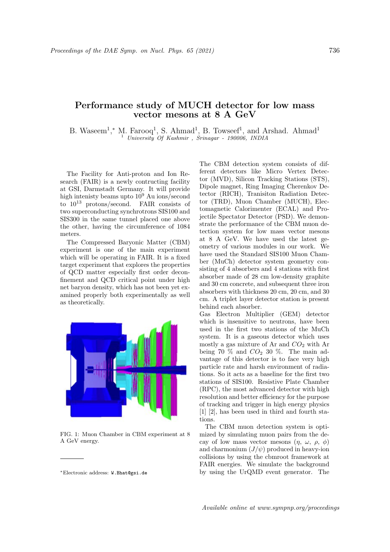## Performance study of MUCH detector for low mass vector mesons at 8 A GeV

B. Waseem<sup>1</sup>,\* M. Farooq<sup>1</sup>, S. Ahmad<sup>1</sup>, B. Towseef<sup>1</sup>, and Arshad. Ahmad<sup>1</sup> <sup>1</sup> University Of Kashmir , Srinagar - 190006, INDIA

The Facility for Anti-proton and Ion Research (FAIR) is a newly contructing facility at GSI, Darmstadt Germany. It will provide high intenisty beams upto 10<sup>9</sup> Au ions/second to  $10^{13}$  protons/second. FAIR consists of two superconducting synchrotrons SIS100 and SIS300 in the same tunnel placed one above the other, having the circumference of 1084 meters.

The Compressed Baryonic Matter (CBM) experiment is one of the main experiment which will be operating in FAIR. It is a fixed target experiment that explores the properties of QCD matter especially first order deconfinement and QCD critical point under high net baryon density, which has not been yet examined properly both experimentally as well as theoretically.



FIG. 1: Muon Chamber in CBM experiment at 8 A GeV energy.

The CBM detection system consists of different detectors like Micro Vertex Detector (MVD), Silicon Tracking Stations (STS), Dipole magnet, Ring Imaging Cherenkov Detector (RICH), Tranisiton Radiation Detector (TRD), Muon Chamber (MUCH), Electomagnetic Calorimenter (ECAL) and Projectile Spectator Detector (PSD). We demonstrate the performance of the CBM muon detection system for low mass vector mesons at 8 A GeV. We have used the latest geometry of various modules in our work. We have used the Standard SIS100 Muon Chamber (MuCh) detector system geometry consisting of 4 absorbers and 4 stations with first absorber made of 28 cm low-density graphite and 30 cm concrete, and subsequent three iron absorbers with thickness 20 cm, 20 cm, and 30 cm. A triplet layer detector station is present behind each absorber.

Gas Electron Multiplier (GEM) detector which is insensitive to neutrons, have been used in the first two stations of the MuCh system. It is a gaseous detector which uses mostly a gas mixture of Ar and  $CO<sub>2</sub>$  with Ar being 70  $\%$  and  $CO<sub>2</sub>$  30  $\%$ . The main advantage of this detector is to face very high particle rate and harsh environment of radiations. So it acts as a baseline for the first two stations of SIS100. Resistive Plate Chamber (RPC), the most advanced detector with high resolution and better efficiency for the purpose of tracking and trigger in high energy physics [1] [2], has been used in third and fourth stations.

The CBM muon detection system is optimized by simulating muon pairs from the decay of low mass vector mesons  $(\eta, \omega, \rho, \phi)$ and charmonium  $(J/\psi)$  produced in heavy-ion collisions by using the cbmroot framework at FAIR energies. We simulate the background by using the UrQMD event generator. The

<sup>∗</sup>Electronic address: W.Bhat@gsi.de